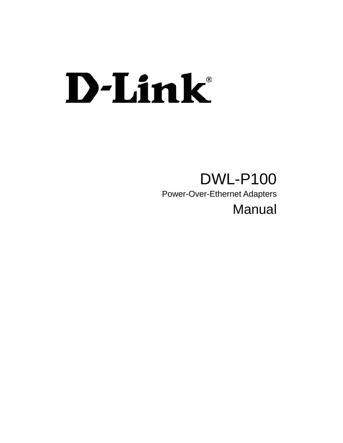# D-Link®

# DWL-P100

Power-Over-Ethernet Adapters

# Manual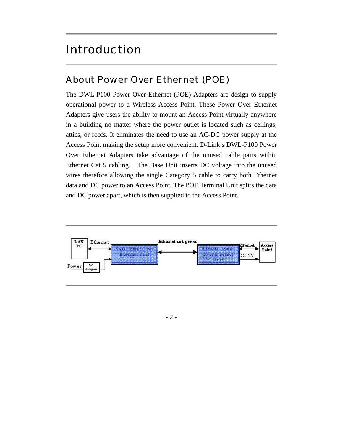#### Introduction

#### About *Power Over Ethernet* (POE)

The DWL-P100 Power Over Ethernet (POE) Adapters are design to supply operational power to a Wireless Access Point. These Power Over Ethernet Adapters give users the ability to mount an Access Point virtually anywhere in a building no matter where the power outlet is located such as ceilings, attics, or roofs. It eliminates the need to use an AC-DC power supply at the Access Point making the setup more convenient. D-Link's DWL-P100 Power Over Ethernet Adapters take advantage of the unused cable pairs within Ethernet Cat 5 cabling. The Base Unit inserts DC voltage into the unused wires therefore allowing the single Category 5 cable to carry both Ethernet data and DC power to an Access Point. The POE Terminal Unit splits the data and DC power apart, which is then supplied to the Access Point.



 $-2-$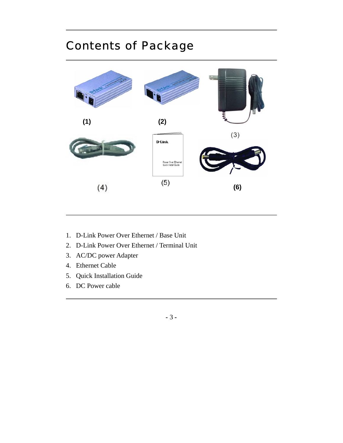## Contents of Package



- 1. D-Link Power Over Ethernet / Base Unit
- 2. D-Link Power Over Ethernet / Terminal Unit
- 3. AC/DC power Adapter
- 4. Ethernet Cable
- 5. Quick Installation Guide
- 6. DC Power cable

**- -** 3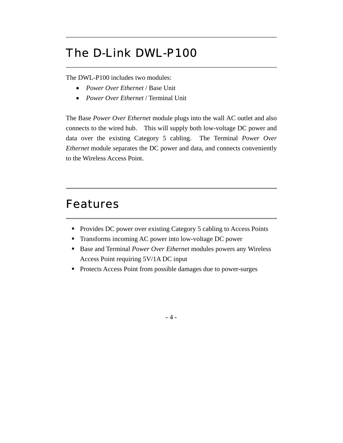## The D-Link DWL-P100

The DWL-P100 includes two modules:

- *Power Over Ethernet* / Base Unit
- *Power Over Ethernet* / Terminal Unit

The Base *Power Over Ethernet* module plugs into the wall AC outlet and also connects to the wired hub. This will supply both low-voltage DC power and data over the existing Category 5 cabling. The Terminal *Power Over Ethernet* module separates the DC power and data, and connects conveniently to the Wireless Access Point.

#### Features

- Provides DC power over existing Category 5 cabling to Access Points
- Transforms incoming AC power into low-voltage DC power
- Base and Terminal *Power Over Ethernet* modules powers any Wireless Access Point requiring 5V/1A DC input
- **Protects Access Point from possible damages due to power-surges**

 $-4-$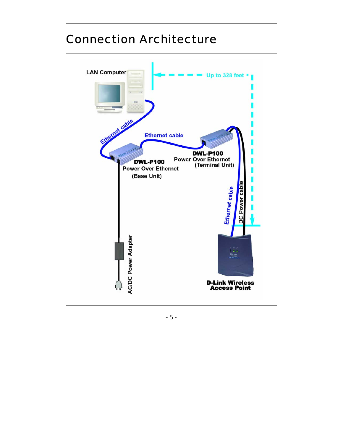

#### Connection Architecture

**- -** 5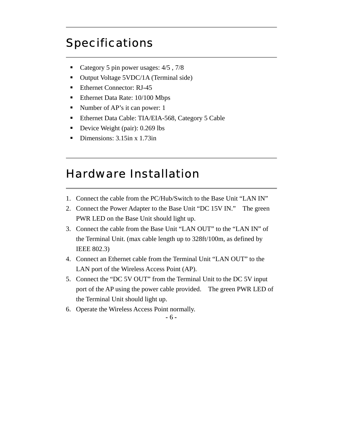#### **Specifications**

- Category 5 pin power usages:  $4/5$ ,  $7/8$
- Output Voltage 5VDC/1A (Terminal side)
- Ethernet Connector: RJ-45
- Ethernet Data Rate: 10/100 Mbps
- Number of AP's it can power: 1
- Ethernet Data Cable: TIA/EIA-568, Category 5 Cable
- Device Weight (pair): 0.269 lbs
- Dimensions: 3.15in x 1.73in

#### Hardware Installation

1. Connect the cable from the PC/Hub/Switch to the Base Unit "LAN IN"

- 2. Connect the Power Adapter to the Base Unit "DC 15V IN." The green PWR LED on the Base Unit should light up.
- 3. Connect the cable from the Base Unit "LAN OUT" to the "LAN IN" of the Terminal Unit. (max cable length up to 328ft/100m, as defined by IEEE 802.3)
- 4. Connect an Ethernet cable from the Terminal Unit "LAN OUT" to the LAN port of the Wireless Access Point (AP).
- 5. Connect the "DC 5V OUT" from the Terminal Unit to the DC 5V input port of the AP using the power cable provided. The green PWR LED of the Terminal Unit should light up.
- 6. Operate the Wireless Access Point normally.

 $-6-$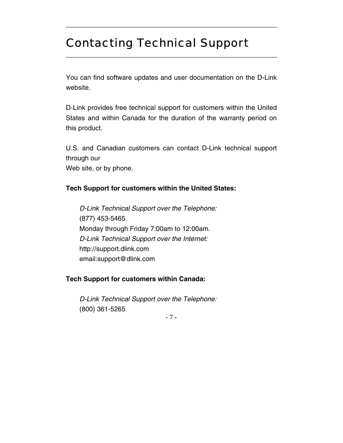#### Contacting Technical Support

You can find software updates and user documentation on the D-Link website.

D-Link provides free technical support for customers within the United States and within Canada for the duration of the warranty period on this product.

U.S. and Canadian customers can contact D-Link technical support through our

Web site, or by phone.

#### **Tech Support for customers within the United States:**

 *D-Link Technical Support over the Telephone:* (877) 453-5465 Monday through Friday 7:00am to 12:00am.  *D-Link Technical Support over the Internet:* http://support.dlink.com email:support@dlink.com

#### **Tech Support for customers within Canada:**

 *D-Link Technical Support over the Telephone:* (800) 361-5265

**- -** 7